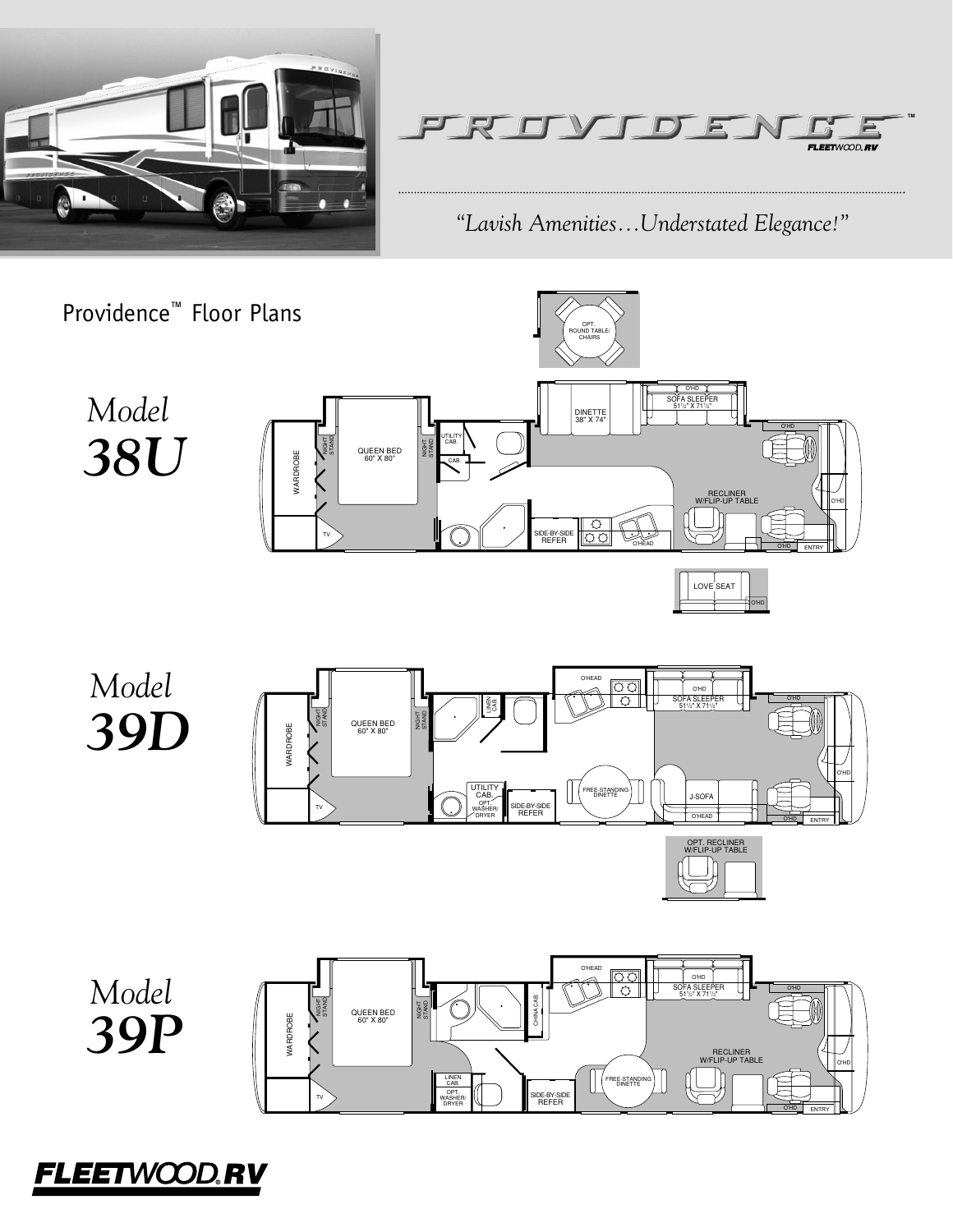



*"Lavish Amenities...Understated Elegance!"*